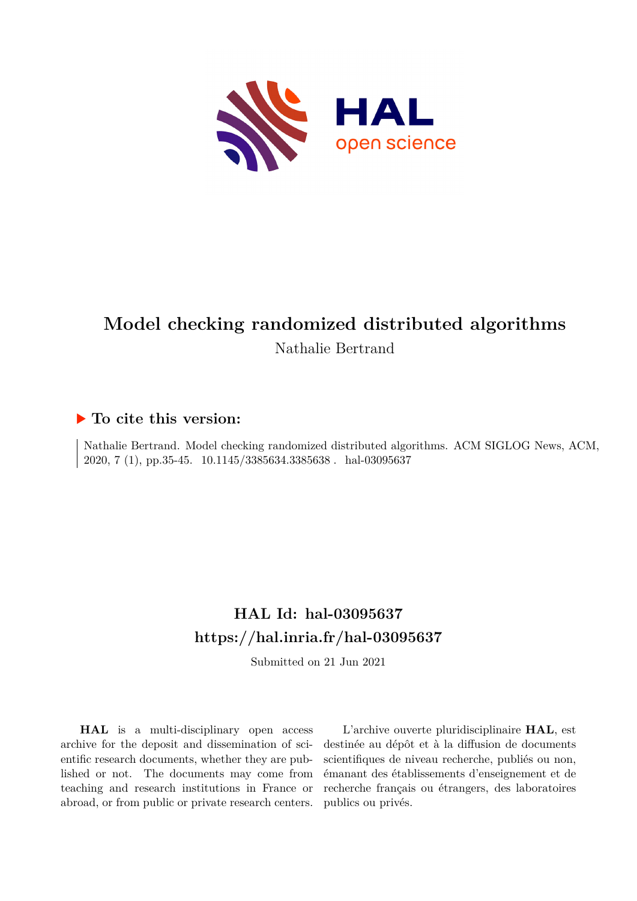

# **Model checking randomized distributed algorithms** Nathalie Bertrand

### **To cite this version:**

Nathalie Bertrand. Model checking randomized distributed algorithms. ACM SIGLOG News, ACM, 2020, 7 (1), pp.35-45. 10.1145/3385634.3385638. hal-03095637

## **HAL Id: hal-03095637 <https://hal.inria.fr/hal-03095637>**

Submitted on 21 Jun 2021

**HAL** is a multi-disciplinary open access archive for the deposit and dissemination of scientific research documents, whether they are published or not. The documents may come from teaching and research institutions in France or abroad, or from public or private research centers.

L'archive ouverte pluridisciplinaire **HAL**, est destinée au dépôt et à la diffusion de documents scientifiques de niveau recherche, publiés ou non, émanant des établissements d'enseignement et de recherche français ou étrangers, des laboratoires publics ou privés.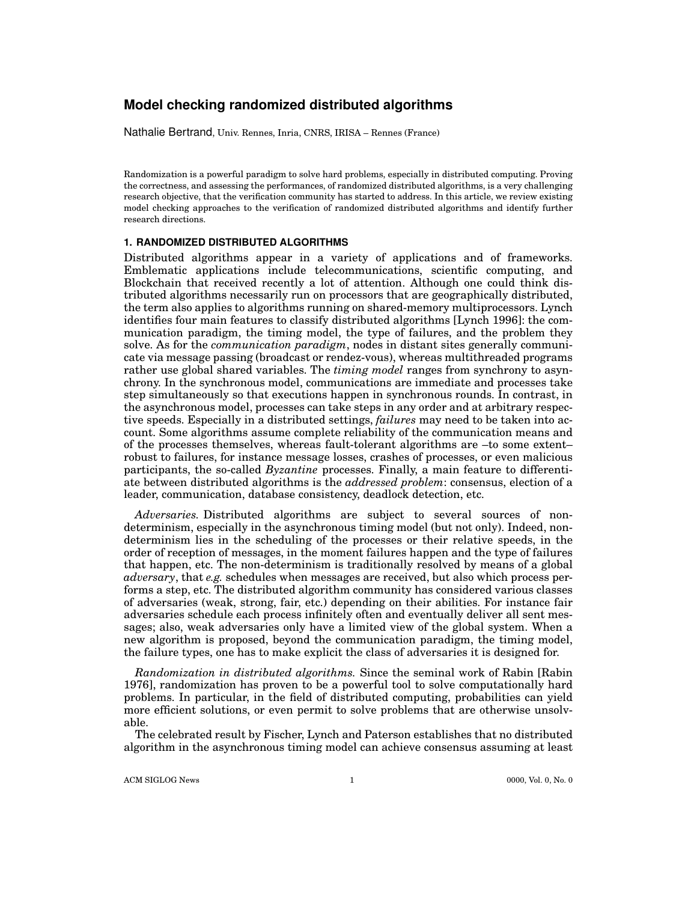### **Model checking randomized distributed algorithms**

Nathalie Bertrand, Univ. Rennes, Inria, CNRS, IRISA – Rennes (France)

Randomization is a powerful paradigm to solve hard problems, especially in distributed computing. Proving the correctness, and assessing the performances, of randomized distributed algorithms, is a very challenging research objective, that the verification community has started to address. In this article, we review existing model checking approaches to the verification of randomized distributed algorithms and identify further research directions.

#### **1. RANDOMIZED DISTRIBUTED ALGORITHMS**

Distributed algorithms appear in a variety of applications and of frameworks. Emblematic applications include telecommunications, scientific computing, and Blockchain that received recently a lot of attention. Although one could think distributed algorithms necessarily run on processors that are geographically distributed, the term also applies to algorithms running on shared-memory multiprocessors. Lynch identifies four main features to classify distributed algorithms [Lynch 1996]: the communication paradigm, the timing model, the type of failures, and the problem they solve. As for the *communication paradigm*, nodes in distant sites generally communicate via message passing (broadcast or rendez-vous), whereas multithreaded programs rather use global shared variables. The *timing model* ranges from synchrony to asynchrony. In the synchronous model, communications are immediate and processes take step simultaneously so that executions happen in synchronous rounds. In contrast, in the asynchronous model, processes can take steps in any order and at arbitrary respective speeds. Especially in a distributed settings, *failures* may need to be taken into account. Some algorithms assume complete reliability of the communication means and of the processes themselves, whereas fault-tolerant algorithms are –to some extent– robust to failures, for instance message losses, crashes of processes, or even malicious participants, the so-called *Byzantine* processes. Finally, a main feature to differentiate between distributed algorithms is the *addressed problem*: consensus, election of a leader, communication, database consistency, deadlock detection, etc.

*Adversaries.* Distributed algorithms are subject to several sources of nondeterminism, especially in the asynchronous timing model (but not only). Indeed, nondeterminism lies in the scheduling of the processes or their relative speeds, in the order of reception of messages, in the moment failures happen and the type of failures that happen, etc. The non-determinism is traditionally resolved by means of a global *adversary*, that *e.g.* schedules when messages are received, but also which process performs a step, etc. The distributed algorithm community has considered various classes of adversaries (weak, strong, fair, etc.) depending on their abilities. For instance fair adversaries schedule each process infinitely often and eventually deliver all sent messages; also, weak adversaries only have a limited view of the global system. When a new algorithm is proposed, beyond the communication paradigm, the timing model, the failure types, one has to make explicit the class of adversaries it is designed for.

*Randomization in distributed algorithms.* Since the seminal work of Rabin [Rabin 1976], randomization has proven to be a powerful tool to solve computationally hard problems. In particular, in the field of distributed computing, probabilities can yield more efficient solutions, or even permit to solve problems that are otherwise unsolvable.

The celebrated result by Fischer, Lynch and Paterson establishes that no distributed algorithm in the asynchronous timing model can achieve consensus assuming at least

ACM SIGLOG News 1 0000, Vol. 0, No. 0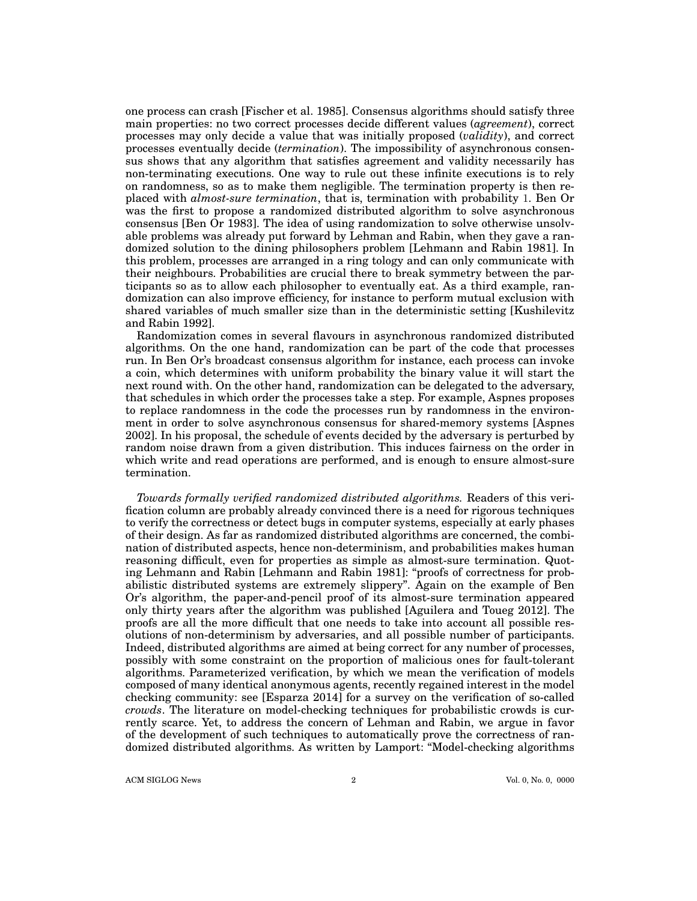one process can crash [Fischer et al. 1985]. Consensus algorithms should satisfy three main properties: no two correct processes decide different values (*agreement*), correct processes may only decide a value that was initially proposed (*validity*), and correct processes eventually decide (*termination*). The impossibility of asynchronous consensus shows that any algorithm that satisfies agreement and validity necessarily has non-terminating executions. One way to rule out these infinite executions is to rely on randomness, so as to make them negligible. The termination property is then replaced with *almost-sure termination*, that is, termination with probability 1. Ben Or was the first to propose a randomized distributed algorithm to solve asynchronous consensus [Ben Or 1983]. The idea of using randomization to solve otherwise unsolvable problems was already put forward by Lehman and Rabin, when they gave a randomized solution to the dining philosophers problem [Lehmann and Rabin 1981]. In this problem, processes are arranged in a ring tology and can only communicate with their neighbours. Probabilities are crucial there to break symmetry between the participants so as to allow each philosopher to eventually eat. As a third example, randomization can also improve efficiency, for instance to perform mutual exclusion with shared variables of much smaller size than in the deterministic setting [Kushilevitz and Rabin 1992].

Randomization comes in several flavours in asynchronous randomized distributed algorithms. On the one hand, randomization can be part of the code that processes run. In Ben Or's broadcast consensus algorithm for instance, each process can invoke a coin, which determines with uniform probability the binary value it will start the next round with. On the other hand, randomization can be delegated to the adversary, that schedules in which order the processes take a step. For example, Aspnes proposes to replace randomness in the code the processes run by randomness in the environment in order to solve asynchronous consensus for shared-memory systems [Aspnes 2002]. In his proposal, the schedule of events decided by the adversary is perturbed by random noise drawn from a given distribution. This induces fairness on the order in which write and read operations are performed, and is enough to ensure almost-sure termination.

*Towards formally verified randomized distributed algorithms.* Readers of this verification column are probably already convinced there is a need for rigorous techniques to verify the correctness or detect bugs in computer systems, especially at early phases of their design. As far as randomized distributed algorithms are concerned, the combination of distributed aspects, hence non-determinism, and probabilities makes human reasoning difficult, even for properties as simple as almost-sure termination. Quoting Lehmann and Rabin [Lehmann and Rabin 1981]: "proofs of correctness for probabilistic distributed systems are extremely slippery". Again on the example of Ben Or's algorithm, the paper-and-pencil proof of its almost-sure termination appeared only thirty years after the algorithm was published [Aguilera and Toueg 2012]. The proofs are all the more difficult that one needs to take into account all possible resolutions of non-determinism by adversaries, and all possible number of participants. Indeed, distributed algorithms are aimed at being correct for any number of processes, possibly with some constraint on the proportion of malicious ones for fault-tolerant algorithms. Parameterized verification, by which we mean the verification of models composed of many identical anonymous agents, recently regained interest in the model checking community: see [Esparza 2014] for a survey on the verification of so-called *crowds*. The literature on model-checking techniques for probabilistic crowds is currently scarce. Yet, to address the concern of Lehman and Rabin, we argue in favor of the development of such techniques to automatically prove the correctness of randomized distributed algorithms. As written by Lamport: "Model-checking algorithms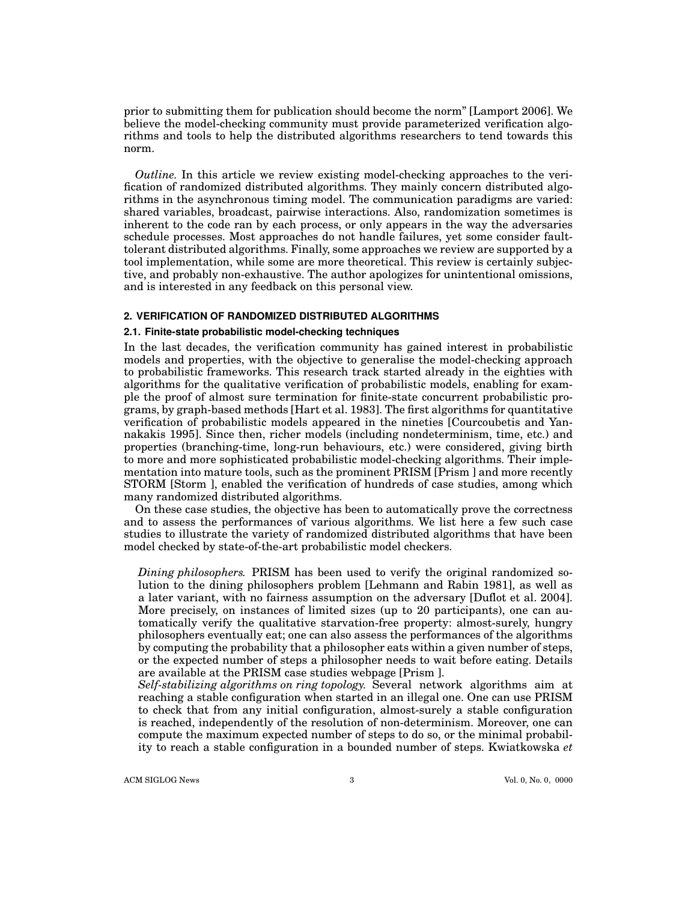prior to submitting them for publication should become the norm" [Lamport 2006]. We believe the model-checking community must provide parameterized verification algorithms and tools to help the distributed algorithms researchers to tend towards this norm.

*Outline.* In this article we review existing model-checking approaches to the verification of randomized distributed algorithms. They mainly concern distributed algorithms in the asynchronous timing model. The communication paradigms are varied: shared variables, broadcast, pairwise interactions. Also, randomization sometimes is inherent to the code ran by each process, or only appears in the way the adversaries schedule processes. Most approaches do not handle failures, yet some consider faulttolerant distributed algorithms. Finally, some approaches we review are supported by a tool implementation, while some are more theoretical. This review is certainly subjective, and probably non-exhaustive. The author apologizes for unintentional omissions, and is interested in any feedback on this personal view.

#### **2. VERIFICATION OF RANDOMIZED DISTRIBUTED ALGORITHMS**

#### **2.1. Finite-state probabilistic model-checking techniques**

In the last decades, the verification community has gained interest in probabilistic models and properties, with the objective to generalise the model-checking approach to probabilistic frameworks. This research track started already in the eighties with algorithms for the qualitative verification of probabilistic models, enabling for example the proof of almost sure termination for finite-state concurrent probabilistic programs, by graph-based methods [Hart et al. 1983]. The first algorithms for quantitative verification of probabilistic models appeared in the nineties [Courcoubetis and Yannakakis 1995]. Since then, richer models (including nondeterminism, time, etc.) and properties (branching-time, long-run behaviours, etc.) were considered, giving birth to more and more sophisticated probabilistic model-checking algorithms. Their implementation into mature tools, such as the prominent PRISM [Prism ] and more recently STORM [Storm ], enabled the verification of hundreds of case studies, among which many randomized distributed algorithms.

On these case studies, the objective has been to automatically prove the correctness and to assess the performances of various algorithms. We list here a few such case studies to illustrate the variety of randomized distributed algorithms that have been model checked by state-of-the-art probabilistic model checkers.

*Dining philosophers.* PRISM has been used to verify the original randomized solution to the dining philosophers problem [Lehmann and Rabin 1981], as well as a later variant, with no fairness assumption on the adversary [Duflot et al. 2004]. More precisely, on instances of limited sizes (up to 20 participants), one can automatically verify the qualitative starvation-free property: almost-surely, hungry philosophers eventually eat; one can also assess the performances of the algorithms by computing the probability that a philosopher eats within a given number of steps, or the expected number of steps a philosopher needs to wait before eating. Details are available at the PRISM case studies webpage [Prism ].

*Self-stabilizing algorithms on ring topology.* Several network algorithms aim at reaching a stable configuration when started in an illegal one. One can use PRISM to check that from any initial configuration, almost-surely a stable configuration is reached, independently of the resolution of non-determinism. Moreover, one can compute the maximum expected number of steps to do so, or the minimal probability to reach a stable configuration in a bounded number of steps. Kwiatkowska *et*

ACM SIGLOG News 3 Vol. 0, No. 0, 0000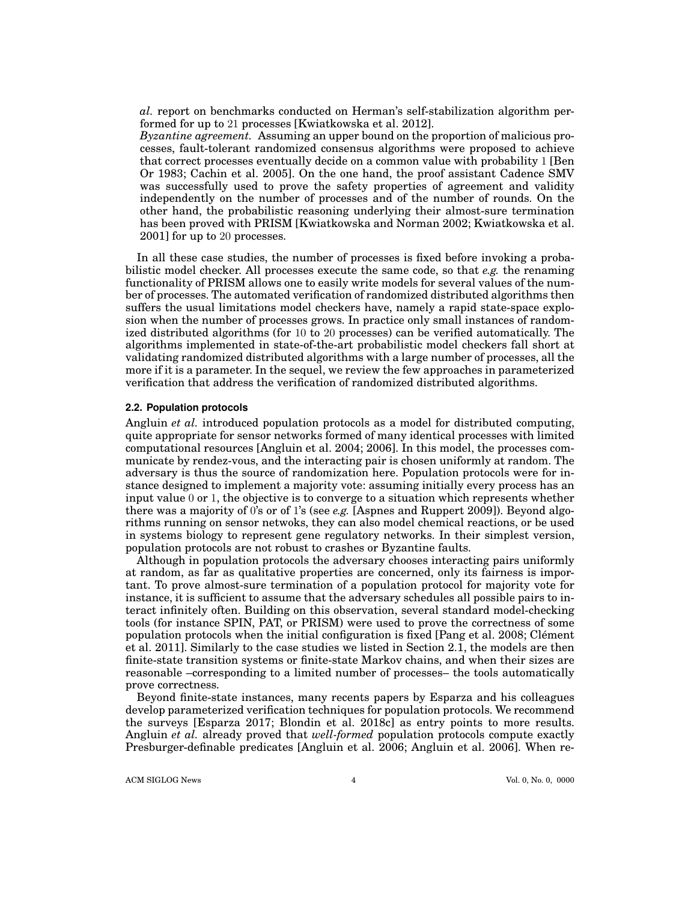*al.* report on benchmarks conducted on Herman's self-stabilization algorithm performed for up to 21 processes [Kwiatkowska et al. 2012].

*Byzantine agreement.* Assuming an upper bound on the proportion of malicious processes, fault-tolerant randomized consensus algorithms were proposed to achieve that correct processes eventually decide on a common value with probability 1 [Ben Or 1983; Cachin et al. 2005]. On the one hand, the proof assistant Cadence SMV was successfully used to prove the safety properties of agreement and validity independently on the number of processes and of the number of rounds. On the other hand, the probabilistic reasoning underlying their almost-sure termination has been proved with PRISM [Kwiatkowska and Norman 2002; Kwiatkowska et al. 2001] for up to 20 processes.

In all these case studies, the number of processes is fixed before invoking a probabilistic model checker. All processes execute the same code, so that *e.g.* the renaming functionality of PRISM allows one to easily write models for several values of the number of processes. The automated verification of randomized distributed algorithms then suffers the usual limitations model checkers have, namely a rapid state-space explosion when the number of processes grows. In practice only small instances of randomized distributed algorithms (for 10 to 20 processes) can be verified automatically. The algorithms implemented in state-of-the-art probabilistic model checkers fall short at validating randomized distributed algorithms with a large number of processes, all the more if it is a parameter. In the sequel, we review the few approaches in parameterized verification that address the verification of randomized distributed algorithms.

#### **2.2. Population protocols**

Angluin *et al.* introduced population protocols as a model for distributed computing, quite appropriate for sensor networks formed of many identical processes with limited computational resources [Angluin et al. 2004; 2006]. In this model, the processes communicate by rendez-vous, and the interacting pair is chosen uniformly at random. The adversary is thus the source of randomization here. Population protocols were for instance designed to implement a majority vote: assuming initially every process has an input value 0 or 1, the objective is to converge to a situation which represents whether there was a majority of 0's or of 1's (see *e.g.* [Aspnes and Ruppert 2009]). Beyond algorithms running on sensor netwoks, they can also model chemical reactions, or be used in systems biology to represent gene regulatory networks. In their simplest version, population protocols are not robust to crashes or Byzantine faults.

Although in population protocols the adversary chooses interacting pairs uniformly at random, as far as qualitative properties are concerned, only its fairness is important. To prove almost-sure termination of a population protocol for majority vote for instance, it is sufficient to assume that the adversary schedules all possible pairs to interact infinitely often. Building on this observation, several standard model-checking tools (for instance SPIN, PAT, or PRISM) were used to prove the correctness of some population protocols when the initial configuration is fixed [Pang et al. 2008; Clément et al. 2011]. Similarly to the case studies we listed in Section 2.1, the models are then finite-state transition systems or finite-state Markov chains, and when their sizes are reasonable –corresponding to a limited number of processes– the tools automatically prove correctness.

Beyond finite-state instances, many recents papers by Esparza and his colleagues develop parameterized verification techniques for population protocols. We recommend the surveys [Esparza 2017; Blondin et al. 2018c] as entry points to more results. Angluin *et al.* already proved that *well-formed* population protocols compute exactly Presburger-definable predicates [Angluin et al. 2006; Angluin et al. 2006]. When re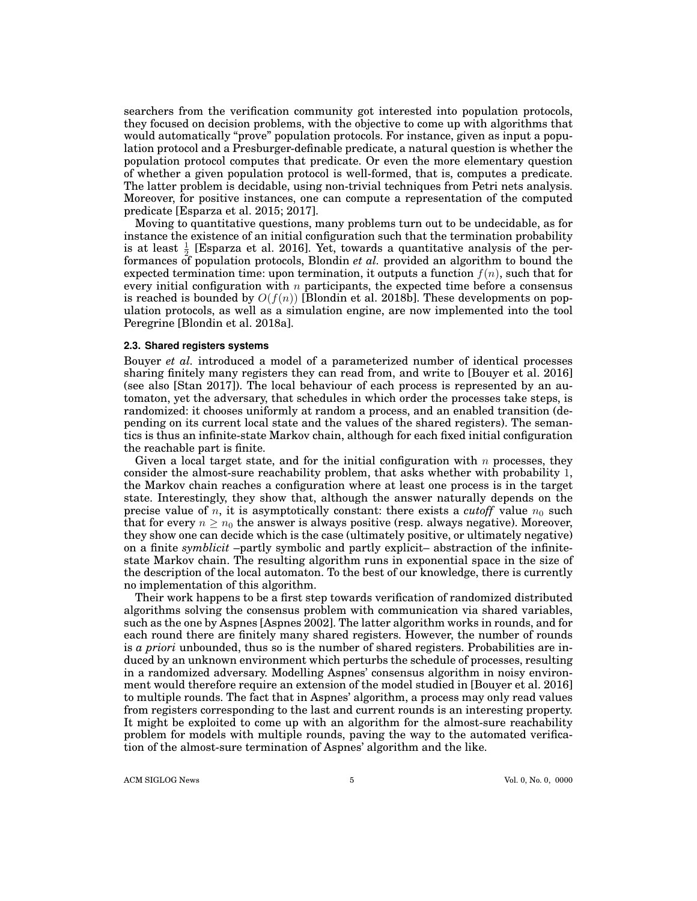searchers from the verification community got interested into population protocols, they focused on decision problems, with the objective to come up with algorithms that would automatically "prove" population protocols. For instance, given as input a population protocol and a Presburger-definable predicate, a natural question is whether the population protocol computes that predicate. Or even the more elementary question of whether a given population protocol is well-formed, that is, computes a predicate. The latter problem is decidable, using non-trivial techniques from Petri nets analysis. Moreover, for positive instances, one can compute a representation of the computed predicate [Esparza et al. 2015; 2017].

Moving to quantitative questions, many problems turn out to be undecidable, as for instance the existence of an initial configuration such that the termination probability is at least  $\frac{1}{2}$  [Esparza et al. 2016]. Yet, towards a quantitative analysis of the performances of population protocols, Blondin *et al.* provided an algorithm to bound the expected termination time: upon termination, it outputs a function *f*(*n*), such that for every initial configuration with *n* participants, the expected time before a consensus is reached is bounded by  $O(f(n))$  [Blondin et al. 2018b]. These developments on population protocols, as well as a simulation engine, are now implemented into the tool Peregrine [Blondin et al. 2018a].

#### **2.3. Shared registers systems**

Bouyer *et al.* introduced a model of a parameterized number of identical processes sharing finitely many registers they can read from, and write to [Bouyer et al. 2016] (see also [Stan 2017]). The local behaviour of each process is represented by an automaton, yet the adversary, that schedules in which order the processes take steps, is randomized: it chooses uniformly at random a process, and an enabled transition (depending on its current local state and the values of the shared registers). The semantics is thus an infinite-state Markov chain, although for each fixed initial configuration the reachable part is finite.

Given a local target state, and for the initial configuration with *n* processes, they consider the almost-sure reachability problem, that asks whether with probability 1, the Markov chain reaches a configuration where at least one process is in the target state. Interestingly, they show that, although the answer naturally depends on the precise value of  $n$ , it is asymptotically constant: there exists a *cutoff* value  $n_0$  such that for every  $n \geq n_0$  the answer is always positive (resp. always negative). Moreover, they show one can decide which is the case (ultimately positive, or ultimately negative) on a finite *symblicit* –partly symbolic and partly explicit– abstraction of the infinitestate Markov chain. The resulting algorithm runs in exponential space in the size of the description of the local automaton. To the best of our knowledge, there is currently no implementation of this algorithm.

Their work happens to be a first step towards verification of randomized distributed algorithms solving the consensus problem with communication via shared variables, such as the one by Aspnes [Aspnes 2002]. The latter algorithm works in rounds, and for each round there are finitely many shared registers. However, the number of rounds is *a priori* unbounded, thus so is the number of shared registers. Probabilities are induced by an unknown environment which perturbs the schedule of processes, resulting in a randomized adversary. Modelling Aspnes' consensus algorithm in noisy environment would therefore require an extension of the model studied in [Bouyer et al. 2016] to multiple rounds. The fact that in Aspnes' algorithm, a process may only read values from registers corresponding to the last and current rounds is an interesting property. It might be exploited to come up with an algorithm for the almost-sure reachability problem for models with multiple rounds, paving the way to the automated verification of the almost-sure termination of Aspnes' algorithm and the like.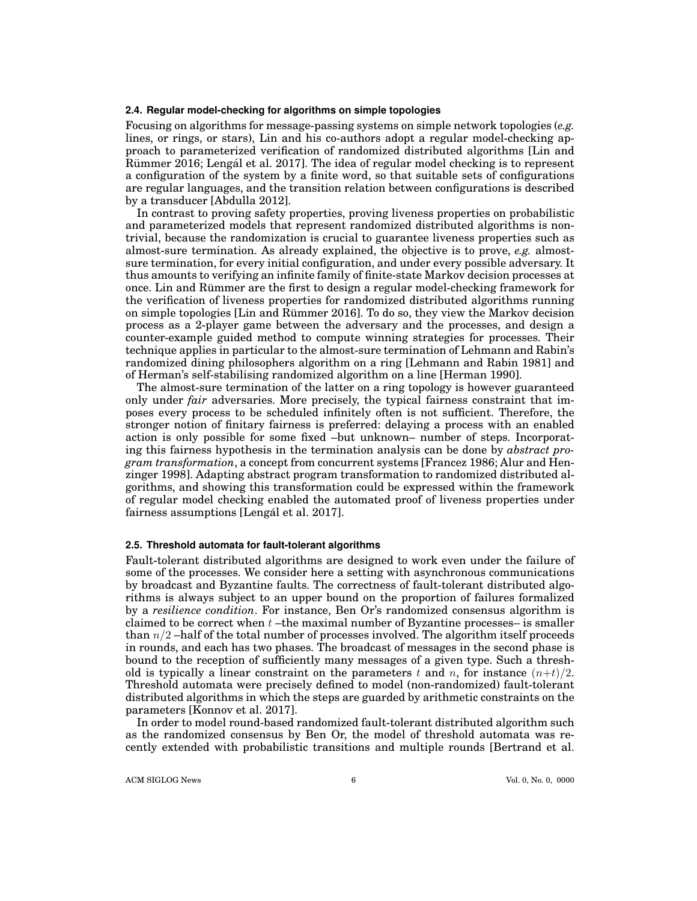#### **2.4. Regular model-checking for algorithms on simple topologies**

Focusing on algorithms for message-passing systems on simple network topologies (*e.g.* lines, or rings, or stars), Lin and his co-authors adopt a regular model-checking approach to parameterized verification of randomized distributed algorithms [Lin and Rümmer 2016; Lengál et al. 2017]. The idea of regular model checking is to represent a configuration of the system by a finite word, so that suitable sets of configurations are regular languages, and the transition relation between configurations is described by a transducer [Abdulla 2012].

In contrast to proving safety properties, proving liveness properties on probabilistic and parameterized models that represent randomized distributed algorithms is nontrivial, because the randomization is crucial to guarantee liveness properties such as almost-sure termination. As already explained, the objective is to prove, *e.g.* almostsure termination, for every initial configuration, and under every possible adversary. It thus amounts to verifying an infinite family of finite-state Markov decision processes at once. Lin and Rümmer are the first to design a regular model-checking framework for the verification of liveness properties for randomized distributed algorithms running on simple topologies [Lin and Rümmer 2016]. To do so, they view the Markov decision process as a 2-player game between the adversary and the processes, and design a counter-example guided method to compute winning strategies for processes. Their technique applies in particular to the almost-sure termination of Lehmann and Rabin's randomized dining philosophers algorithm on a ring [Lehmann and Rabin 1981] and of Herman's self-stabilising randomized algorithm on a line [Herman 1990].

The almost-sure termination of the latter on a ring topology is however guaranteed only under *fair* adversaries. More precisely, the typical fairness constraint that imposes every process to be scheduled infinitely often is not sufficient. Therefore, the stronger notion of finitary fairness is preferred: delaying a process with an enabled action is only possible for some fixed –but unknown– number of steps. Incorporating this fairness hypothesis in the termination analysis can be done by *abstract program transformation*, a concept from concurrent systems [Francez 1986; Alur and Henzinger 1998]. Adapting abstract program transformation to randomized distributed algorithms, and showing this transformation could be expressed within the framework of regular model checking enabled the automated proof of liveness properties under fairness assumptions [Lengál et al. 2017].

#### **2.5. Threshold automata for fault-tolerant algorithms**

Fault-tolerant distributed algorithms are designed to work even under the failure of some of the processes. We consider here a setting with asynchronous communications by broadcast and Byzantine faults. The correctness of fault-tolerant distributed algorithms is always subject to an upper bound on the proportion of failures formalized by a *resilience condition*. For instance, Ben Or's randomized consensus algorithm is claimed to be correct when *t* –the maximal number of Byzantine processes– is smaller than *n/*2 –half of the total number of processes involved. The algorithm itself proceeds in rounds, and each has two phases. The broadcast of messages in the second phase is bound to the reception of sufficiently many messages of a given type. Such a threshold is typically a linear constraint on the parameters  $t$  and  $n$ , for instance  $(n+t)/2$ . Threshold automata were precisely defined to model (non-randomized) fault-tolerant distributed algorithms in which the steps are guarded by arithmetic constraints on the parameters [Konnov et al. 2017].

In order to model round-based randomized fault-tolerant distributed algorithm such as the randomized consensus by Ben Or, the model of threshold automata was recently extended with probabilistic transitions and multiple rounds [Bertrand et al.

ACM SIGLOG News 6 6 Vol. 0, No. 0, 0000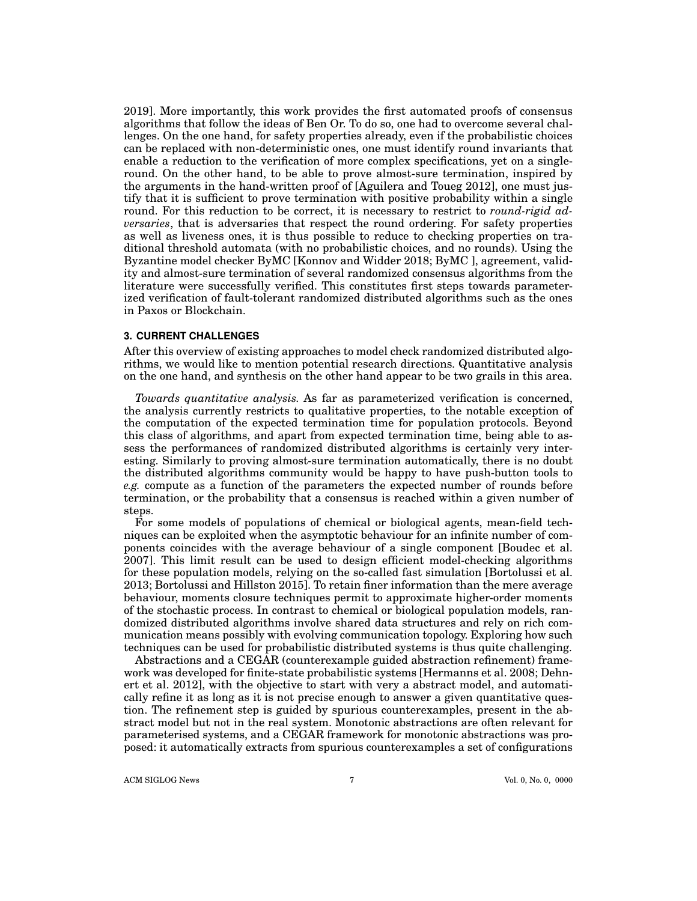2019]. More importantly, this work provides the first automated proofs of consensus algorithms that follow the ideas of Ben Or. To do so, one had to overcome several challenges. On the one hand, for safety properties already, even if the probabilistic choices can be replaced with non-deterministic ones, one must identify round invariants that enable a reduction to the verification of more complex specifications, yet on a singleround. On the other hand, to be able to prove almost-sure termination, inspired by the arguments in the hand-written proof of [Aguilera and Toueg 2012], one must justify that it is sufficient to prove termination with positive probability within a single round. For this reduction to be correct, it is necessary to restrict to *round-rigid adversaries*, that is adversaries that respect the round ordering. For safety properties as well as liveness ones, it is thus possible to reduce to checking properties on traditional threshold automata (with no probabilistic choices, and no rounds). Using the Byzantine model checker ByMC [Konnov and Widder 2018; ByMC ], agreement, validity and almost-sure termination of several randomized consensus algorithms from the literature were successfully verified. This constitutes first steps towards parameterized verification of fault-tolerant randomized distributed algorithms such as the ones in Paxos or Blockchain.

#### **3. CURRENT CHALLENGES**

After this overview of existing approaches to model check randomized distributed algorithms, we would like to mention potential research directions. Quantitative analysis on the one hand, and synthesis on the other hand appear to be two grails in this area.

*Towards quantitative analysis.* As far as parameterized verification is concerned, the analysis currently restricts to qualitative properties, to the notable exception of the computation of the expected termination time for population protocols. Beyond this class of algorithms, and apart from expected termination time, being able to assess the performances of randomized distributed algorithms is certainly very interesting. Similarly to proving almost-sure termination automatically, there is no doubt the distributed algorithms community would be happy to have push-button tools to *e.g.* compute as a function of the parameters the expected number of rounds before termination, or the probability that a consensus is reached within a given number of steps.

For some models of populations of chemical or biological agents, mean-field techniques can be exploited when the asymptotic behaviour for an infinite number of components coincides with the average behaviour of a single component [Boudec et al. 2007]. This limit result can be used to design efficient model-checking algorithms for these population models, relying on the so-called fast simulation [Bortolussi et al. 2013; Bortolussi and Hillston 2015]. To retain finer information than the mere average behaviour, moments closure techniques permit to approximate higher-order moments of the stochastic process. In contrast to chemical or biological population models, randomized distributed algorithms involve shared data structures and rely on rich communication means possibly with evolving communication topology. Exploring how such techniques can be used for probabilistic distributed systems is thus quite challenging.

Abstractions and a CEGAR (counterexample guided abstraction refinement) framework was developed for finite-state probabilistic systems [Hermanns et al. 2008; Dehnert et al. 2012], with the objective to start with very a abstract model, and automatically refine it as long as it is not precise enough to answer a given quantitative question. The refinement step is guided by spurious counterexamples, present in the abstract model but not in the real system. Monotonic abstractions are often relevant for parameterised systems, and a CEGAR framework for monotonic abstractions was proposed: it automatically extracts from spurious counterexamples a set of configurations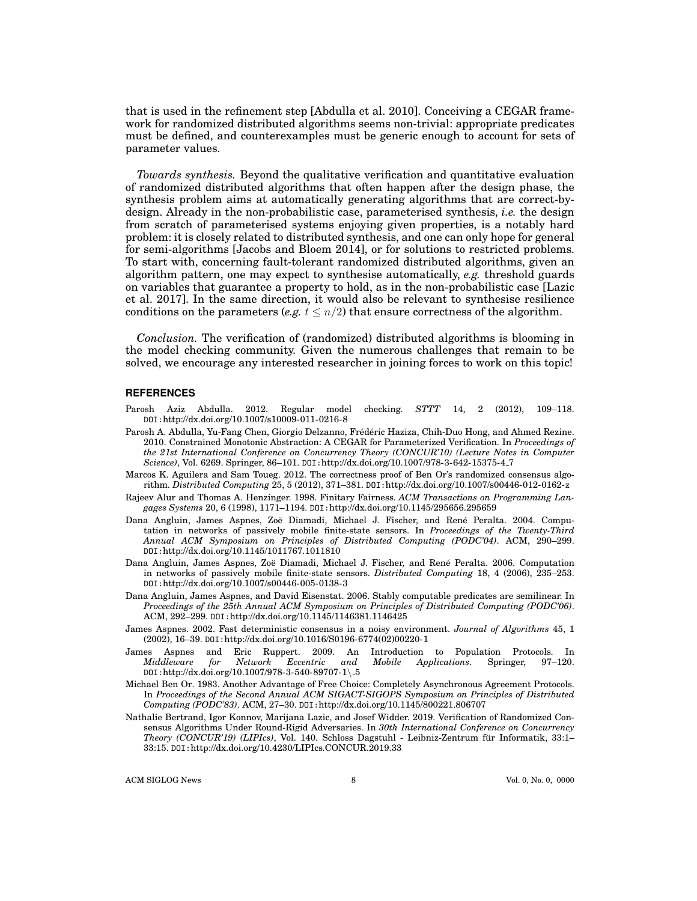that is used in the refinement step [Abdulla et al. 2010]. Conceiving a CEGAR framework for randomized distributed algorithms seems non-trivial: appropriate predicates must be defined, and counterexamples must be generic enough to account for sets of parameter values.

*Towards synthesis.* Beyond the qualitative verification and quantitative evaluation of randomized distributed algorithms that often happen after the design phase, the synthesis problem aims at automatically generating algorithms that are correct-bydesign. Already in the non-probabilistic case, parameterised synthesis, *i.e.* the design from scratch of parameterised systems enjoying given properties, is a notably hard problem: it is closely related to distributed synthesis, and one can only hope for general for semi-algorithms [Jacobs and Bloem 2014], or for solutions to restricted problems. To start with, concerning fault-tolerant randomized distributed algorithms, given an algorithm pattern, one may expect to synthesise automatically, *e.g.* threshold guards on variables that guarantee a property to hold, as in the non-probabilistic case [Lazic et al. 2017]. In the same direction, it would also be relevant to synthesise resilience conditions on the parameters (*e.g.*  $t \leq n/2$ ) that ensure correctness of the algorithm.

*Conclusion.* The verification of (randomized) distributed algorithms is blooming in the model checking community. Given the numerous challenges that remain to be solved, we encourage any interested researcher in joining forces to work on this topic!

#### **REFERENCES**

- Parosh Aziz Abdulla. 2012. Regular model checking. *STTT* 14, 2 (2012), 109–118. DOI:http://dx.doi.org/10.1007/s10009-011-0216-8
- Parosh A. Abdulla, Yu-Fang Chen, Giorgio Delzanno, Frédéric Haziza, Chih-Duo Hong, and Ahmed Rezine. 2010. Constrained Monotonic Abstraction: A CEGAR for Parameterized Verification. In *Proceedings of the 21st International Conference on Concurrency Theory (CONCUR'10) (Lecture Notes in Computer Science)*, Vol. 6269. Springer, 86–101. DOI:http://dx.doi.org/10.1007/978-3-642-15375-4 7
- Marcos K. Aguilera and Sam Toueg. 2012. The correctness proof of Ben Or's randomized consensus algorithm. *Distributed Computing* 25, 5 (2012), 371–381. DOI:http://dx.doi.org/10.1007/s00446-012-0162-z
- Rajeev Alur and Thomas A. Henzinger. 1998. Finitary Fairness. *ACM Transactions on Programming Langages Systems* 20, 6 (1998), 1171–1194. DOI:http://dx.doi.org/10.1145/295656.295659
- Dana Angluin, James Aspnes, Zoë Diamadi, Michael J. Fischer, and René Peralta. 2004. Computation in networks of passively mobile finite-state sensors. In *Proceedings of the Twenty-Third Annual ACM Symposium on Principles of Distributed Computing (PODC'04)*. ACM, 290–299. DOI:http://dx.doi.org/10.1145/1011767.1011810
- Dana Angluin, James Aspnes, Zoë Diamadi, Michael J. Fischer, and René Peralta. 2006. Computation in networks of passively mobile finite-state sensors. *Distributed Computing* 18, 4 (2006), 235–253. DOI:http://dx.doi.org/10.1007/s00446-005-0138-3
- Dana Angluin, James Aspnes, and David Eisenstat. 2006. Stably computable predicates are semilinear. In *Proceedings of the 25th Annual ACM Symposium on Principles of Distributed Computing (PODC'06)*. ACM, 292–299. DOI:http://dx.doi.org/10.1145/1146381.1146425
- James Aspnes. 2002. Fast deterministic consensus in a noisy environment. *Journal of Algorithms* 45, 1 (2002), 16–39. DOI:http://dx.doi.org/10.1016/S0196-6774(02)00220-1
- James Aspnes and Eric Ruppert. 2009. An Introduction to Population Protocols. In Middleware for Network Eccentric and Mobile Applications. Springer, 97–120. *Applications*. Springer, DOI:http://dx.doi.org/10.1007/978-3-540-89707-1\ 5
- Michael Ben Or. 1983. Another Advantage of Free Choice: Completely Asynchronous Agreement Protocols. In *Proceedings of the Second Annual ACM SIGACT-SIGOPS Symposium on Principles of Distributed Computing (PODC'83)*. ACM, 27–30. DOI:http://dx.doi.org/10.1145/800221.806707
- Nathalie Bertrand, Igor Konnov, Marijana Lazic, and Josef Widder. 2019. Verification of Randomized Consensus Algorithms Under Round-Rigid Adversaries. In *30th International Conference on Concurrency Theory (CONCUR'19) (LIPIcs)*, Vol. 140. Schloss Dagstuhl - Leibniz-Zentrum fur Informatik, 33:1– ¨ 33:15. DOI:http://dx.doi.org/10.4230/LIPIcs.CONCUR.2019.33

ACM SIGLOG News 8 Vol. 0, No. 0, 0000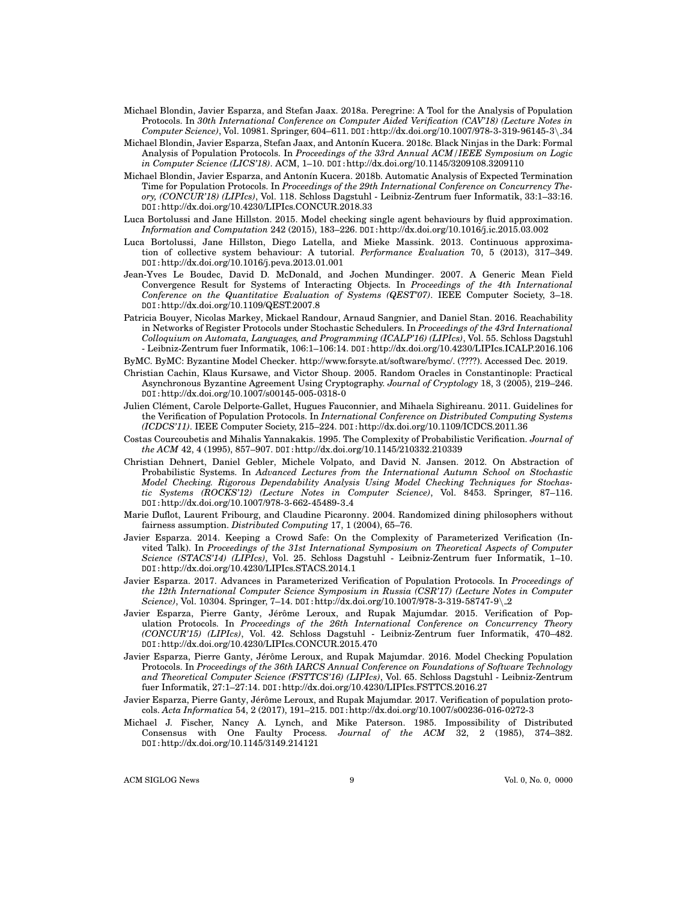- Michael Blondin, Javier Esparza, and Stefan Jaax. 2018a. Peregrine: A Tool for the Analysis of Population Protocols. In *30th International Conference on Computer Aided Verification (CAV'18) (Lecture Notes in Computer Science)*, Vol. 10981. Springer, 604–611. DOI:http://dx.doi.org/10.1007/978-3-319-96145-3\ 34
- Michael Blondin, Javier Esparza, Stefan Jaax, and Antonín Kucera. 2018c. Black Ninjas in the Dark: Formal Analysis of Population Protocols. In *Proceedings of the 33rd Annual ACM/IEEE Symposium on Logic in Computer Science (LICS'18)*. ACM, 1–10. DOI:http://dx.doi.org/10.1145/3209108.3209110
- Michael Blondin, Javier Esparza, and Antonín Kucera. 2018b. Automatic Analysis of Expected Termination Time for Population Protocols. In *Proceedings of the 29th International Conference on Concurrency Theory, (CONCUR'18) (LIPIcs)*, Vol. 118. Schloss Dagstuhl - Leibniz-Zentrum fuer Informatik, 33:1–33:16. DOI:http://dx.doi.org/10.4230/LIPIcs.CONCUR.2018.33
- Luca Bortolussi and Jane Hillston. 2015. Model checking single agent behaviours by fluid approximation. *Information and Computation* 242 (2015), 183–226. DOI:http://dx.doi.org/10.1016/j.ic.2015.03.002
- Luca Bortolussi, Jane Hillston, Diego Latella, and Mieke Massink. 2013. Continuous approximation of collective system behaviour: A tutorial. *Performance Evaluation* 70, 5 (2013), 317–349. DOI:http://dx.doi.org/10.1016/j.peva.2013.01.001
- Jean-Yves Le Boudec, David D. McDonald, and Jochen Mundinger. 2007. A Generic Mean Field Convergence Result for Systems of Interacting Objects. In *Proceedings of the 4th International Conference on the Quantitative Evaluation of Systems (QEST'07)*. IEEE Computer Society, 3–18. DOI:http://dx.doi.org/10.1109/QEST.2007.8
- Patricia Bouyer, Nicolas Markey, Mickael Randour, Arnaud Sangnier, and Daniel Stan. 2016. Reachability in Networks of Register Protocols under Stochastic Schedulers. In *Proceedings of the 43rd International Colloquium on Automata, Languages, and Programming (ICALP'16) (LIPIcs)*, Vol. 55. Schloss Dagstuhl - Leibniz-Zentrum fuer Informatik, 106:1–106:14. DOI:http://dx.doi.org/10.4230/LIPIcs.ICALP.2016.106
- ByMC. ByMC: Byzantine Model Checker. http://www.forsyte.at/software/bymc/. (????). Accessed Dec. 2019.
- Christian Cachin, Klaus Kursawe, and Victor Shoup. 2005. Random Oracles in Constantinople: Practical Asynchronous Byzantine Agreement Using Cryptography. *Journal of Cryptology* 18, 3 (2005), 219–246. DOI:http://dx.doi.org/10.1007/s00145-005-0318-0
- Julien Clement, Carole Delporte-Gallet, Hugues Fauconnier, and Mihaela Sighireanu. 2011. Guidelines for ´ the Verification of Population Protocols. In *International Conference on Distributed Computing Systems (ICDCS'11)*. IEEE Computer Society, 215–224. DOI:http://dx.doi.org/10.1109/ICDCS.2011.36
- Costas Courcoubetis and Mihalis Yannakakis. 1995. The Complexity of Probabilistic Verification. *Journal of the ACM* 42, 4 (1995), 857–907. DOI:http://dx.doi.org/10.1145/210332.210339
- Christian Dehnert, Daniel Gebler, Michele Volpato, and David N. Jansen. 2012. On Abstraction of Probabilistic Systems. In *Advanced Lectures from the International Autumn School on Stochastic Model Checking. Rigorous Dependability Analysis Using Model Checking Techniques for Stochastic Systems (ROCKS'12) (Lecture Notes in Computer Science)*, Vol. 8453. Springer, 87–116. DOI:http://dx.doi.org/10.1007/978-3-662-45489-3 4
- Marie Duflot, Laurent Fribourg, and Claudine Picaronny. 2004. Randomized dining philosophers without fairness assumption. *Distributed Computing* 17, 1 (2004), 65–76.
- Javier Esparza. 2014. Keeping a Crowd Safe: On the Complexity of Parameterized Verification (Invited Talk). In *Proceedings of the 31st International Symposium on Theoretical Aspects of Computer Science (STACS'14) (LIPIcs)*, Vol. 25. Schloss Dagstuhl - Leibniz-Zentrum fuer Informatik, 1–10. DOI:http://dx.doi.org/10.4230/LIPIcs.STACS.2014.1
- Javier Esparza. 2017. Advances in Parameterized Verification of Population Protocols. In *Proceedings of the 12th International Computer Science Symposium in Russia (CSR'17) (Lecture Notes in Computer Science)*, Vol. 10304. Springer, 7–14. DOI:http://dx.doi.org/10.1007/978-3-319-58747-9\ 2
- Javier Esparza, Pierre Ganty, Jérôme Leroux, and Rupak Majumdar. 2015. Verification of Population Protocols. In *Proceedings of the 26th International Conference on Concurrency Theory (CONCUR'15) (LIPIcs)*, Vol. 42. Schloss Dagstuhl - Leibniz-Zentrum fuer Informatik, 470–482. DOI:http://dx.doi.org/10.4230/LIPIcs.CONCUR.2015.470
- Javier Esparza, Pierre Ganty, Jérôme Leroux, and Rupak Majumdar. 2016. Model Checking Population Protocols. In *Proceedings of the 36th IARCS Annual Conference on Foundations of Software Technology and Theoretical Computer Science (FSTTCS'16) (LIPIcs)*, Vol. 65. Schloss Dagstuhl - Leibniz-Zentrum fuer Informatik, 27:1–27:14. DOI:http://dx.doi.org/10.4230/LIPIcs.FSTTCS.2016.27
- Javier Esparza, Pierre Ganty, Jérôme Leroux, and Rupak Majumdar. 2017. Verification of population protocols. *Acta Informatica* 54, 2 (2017), 191–215. DOI:http://dx.doi.org/10.1007/s00236-016-0272-3
- Michael J. Fischer, Nancy A. Lynch, and Mike Paterson. 1985. Impossibility of Distributed Consensus with One Faulty Process. *Journal of the ACM* 32, 2 (1985), 374–382. DOI:http://dx.doi.org/10.1145/3149.214121

ACM SIGLOG News 9 Vol. 0, No. 0, 0000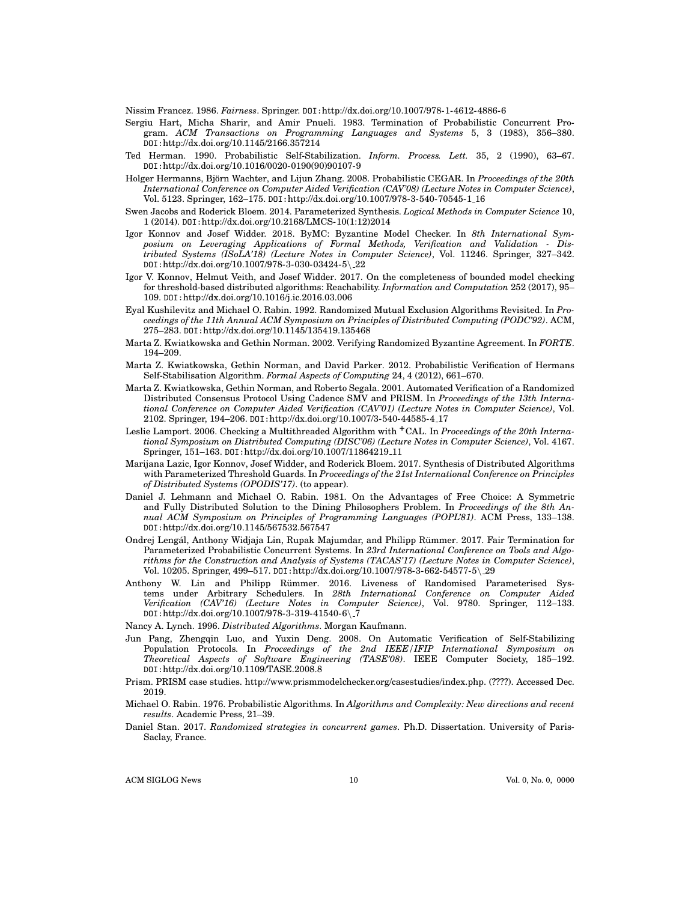Nissim Francez. 1986. *Fairness*. Springer. DOI:http://dx.doi.org/10.1007/978-1-4612-4886-6

- Sergiu Hart, Micha Sharir, and Amir Pnueli. 1983. Termination of Probabilistic Concurrent Program. *ACM Transactions on Programming Languages and Systems* 5, 3 (1983), 356–380. DOI:http://dx.doi.org/10.1145/2166.357214
- Ted Herman. 1990. Probabilistic Self-Stabilization. *Inform. Process. Lett.* 35, 2 (1990), 63–67. DOI:http://dx.doi.org/10.1016/0020-0190(90)90107-9
- Holger Hermanns, Björn Wachter, and Lijun Zhang. 2008. Probabilistic CEGAR. In *Proceedings of the 20th International Conference on Computer Aided Verification (CAV'08) (Lecture Notes in Computer Science)*, Vol. 5123. Springer, 162–175. DOI:http://dx.doi.org/10.1007/978-3-540-70545-1 16
- Swen Jacobs and Roderick Bloem. 2014. Parameterized Synthesis. *Logical Methods in Computer Science* 10, 1 (2014). DOI:http://dx.doi.org/10.2168/LMCS-10(1:12)2014
- Igor Konnov and Josef Widder. 2018. ByMC: Byzantine Model Checker. In *8th International Symposium on Leveraging Applications of Formal Methods, Verification and Validation - Distributed Systems (ISoLA'18) (Lecture Notes in Computer Science)*, Vol. 11246. Springer, 327–342. DOI:http://dx.doi.org/10.1007/978-3-030-03424-5\ 22
- Igor V. Konnov, Helmut Veith, and Josef Widder. 2017. On the completeness of bounded model checking for threshold-based distributed algorithms: Reachability. *Information and Computation* 252 (2017), 95– 109. DOI:http://dx.doi.org/10.1016/j.ic.2016.03.006
- Eyal Kushilevitz and Michael O. Rabin. 1992. Randomized Mutual Exclusion Algorithms Revisited. In *Proceedings of the 11th Annual ACM Symposium on Principles of Distributed Computing (PODC'92)*. ACM, 275–283. DOI:http://dx.doi.org/10.1145/135419.135468
- Marta Z. Kwiatkowska and Gethin Norman. 2002. Verifying Randomized Byzantine Agreement. In *FORTE*. 194–209.
- Marta Z. Kwiatkowska, Gethin Norman, and David Parker. 2012. Probabilistic Verification of Hermans Self-Stabilisation Algorithm. *Formal Aspects of Computing* 24, 4 (2012), 661–670.
- Marta Z. Kwiatkowska, Gethin Norman, and Roberto Segala. 2001. Automated Verification of a Randomized Distributed Consensus Protocol Using Cadence SMV and PRISM. In *Proceedings of the 13th International Conference on Computer Aided Verification (CAV'01) (Lecture Notes in Computer Science)*, Vol. 2102. Springer, 194–206. DOI:http://dx.doi.org/10.1007/3-540-44585-4 17
- Leslie Lamport. 2006. Checking a Multithreaded Algorithm with +CAL. In *Proceedings of the 20th International Symposium on Distributed Computing (DISC'06) (Lecture Notes in Computer Science)*, Vol. 4167. Springer, 151–163. DOI:http://dx.doi.org/10.1007/11864219 11
- Marijana Lazic, Igor Konnov, Josef Widder, and Roderick Bloem. 2017. Synthesis of Distributed Algorithms with Parameterized Threshold Guards. In *Proceedings of the 21st International Conference on Principles of Distributed Systems (OPODIS'17)*. (to appear).
- Daniel J. Lehmann and Michael O. Rabin. 1981. On the Advantages of Free Choice: A Symmetric and Fully Distributed Solution to the Dining Philosophers Problem. In *Proceedings of the 8th Annual ACM Symposium on Principles of Programming Languages (POPL'81)*. ACM Press, 133–138. DOI:http://dx.doi.org/10.1145/567532.567547
- Ondrej Lengál, Anthony Widjaja Lin, Rupak Majumdar, and Philipp Rümmer. 2017. Fair Termination for Parameterized Probabilistic Concurrent Systems. In *23rd International Conference on Tools and Algorithms for the Construction and Analysis of Systems (TACAS'17) (Lecture Notes in Computer Science)*, Vol. 10205. Springer, 499–517. DOI:http://dx.doi.org/10.1007/978-3-662-54577-5\ 29
- Anthony W. Lin and Philipp Rummer. 2016. Liveness of Randomised Parameterised Sys- ¨ tems under Arbitrary Schedulers. In *28th International Conference on Computer Aided Verification (CAV'16) (Lecture Notes in Computer Science)*, Vol. 9780. Springer, 112–133. DOI:http://dx.doi.org/10.1007/978-3-319-41540-6\ 7
- Nancy A. Lynch. 1996. *Distributed Algorithms*. Morgan Kaufmann.
- Jun Pang, Zhengqin Luo, and Yuxin Deng. 2008. On Automatic Verification of Self-Stabilizing Population Protocols. In *Proceedings of the 2nd IEEE/IFIP International Symposium on Theoretical Aspects of Software Engineering (TASE'08)*. IEEE Computer Society, 185–192. DOI:http://dx.doi.org/10.1109/TASE.2008.8
- Prism. PRISM case studies. http://www.prismmodelchecker.org/casestudies/index.php. (????). Accessed Dec. 2019.
- Michael O. Rabin. 1976. Probabilistic Algorithms. In *Algorithms and Complexity: New directions and recent results*. Academic Press, 21–39.
- Daniel Stan. 2017. *Randomized strategies in concurrent games*. Ph.D. Dissertation. University of Paris-Saclay, France.